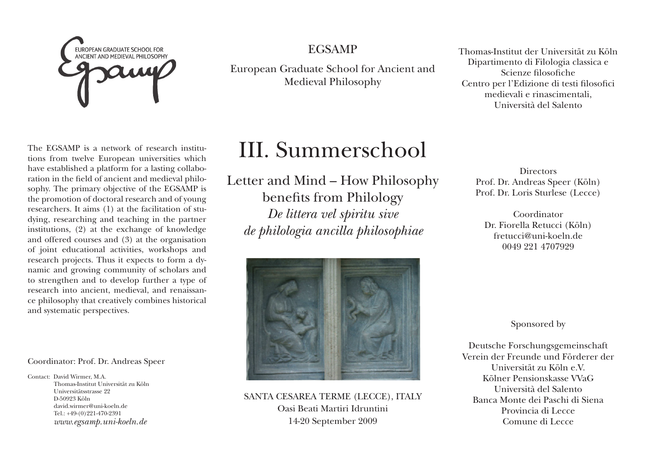

EGSAMP

European Graduate School for Ancient and Medieval Philosophy

The EGSAMP is a network of research institutions from twelve European universities which have established a platform for a lasting collaboration in the field of ancient and medieval philosophy. The primary objective of the EGSAMP is the promotion of doctoral research and of young researchers. It aims (1) at the facilitation of studying, researching and teaching in the partner institutions, (2) at the exchange of knowledge and offered courses and (3) at the organisation of joint educational activities, workshops and research projects. Thus it expects to form a dynamic and growing community of scholars and to strengthen and to develop further a type of research into ancient, medieval, and renaissance philosophy that creatively combines historical and systematic perspectives.

Coordinator: Prof. Dr. Andreas Speer

Contact: David Wirmer, M.A. Thomas-Institut Universität zu Köln Universitätsstrasse 22 D-50923 Köln david.wirmer@uni-koeln.de  $Tel: +49-(0)991-470-9391$ *www.egsamp.uni-koeln.de*

# III. Summerschool

Letter and Mind – How Philosophy benefits from Philology *De littera vel spiritu sive de philologia ancilla philosophiae*



SANTA CESAREA TERME (LECCE), ITALY Oasi Beati Martiri Idruntini 14-20 September 2009

Thomas-Institut der Universität zu Köln Dipartimento di Filologia classica e Scienze filosofiche Centro per l'Edizione di testi filosofici medievali e rinascimentali, Università del Salento

> **Directors** Prof. Dr. Andreas Speer (Köln) Prof. Dr. Loris Sturlese (Lecce)

Coordinator Dr. Fiorella Retucci (Köln) fretucci@uni-koeln.de 0049 221 4707929

Sponsored by

Deutsche Forschungsgemeinschaft Verein der Freunde und Förderer der Universität zu Köln e.V. Kölner Pensionskasse VVaG Università del Salento Banca Monte dei Paschi di Siena Provincia di Lecce Comune di Lecce